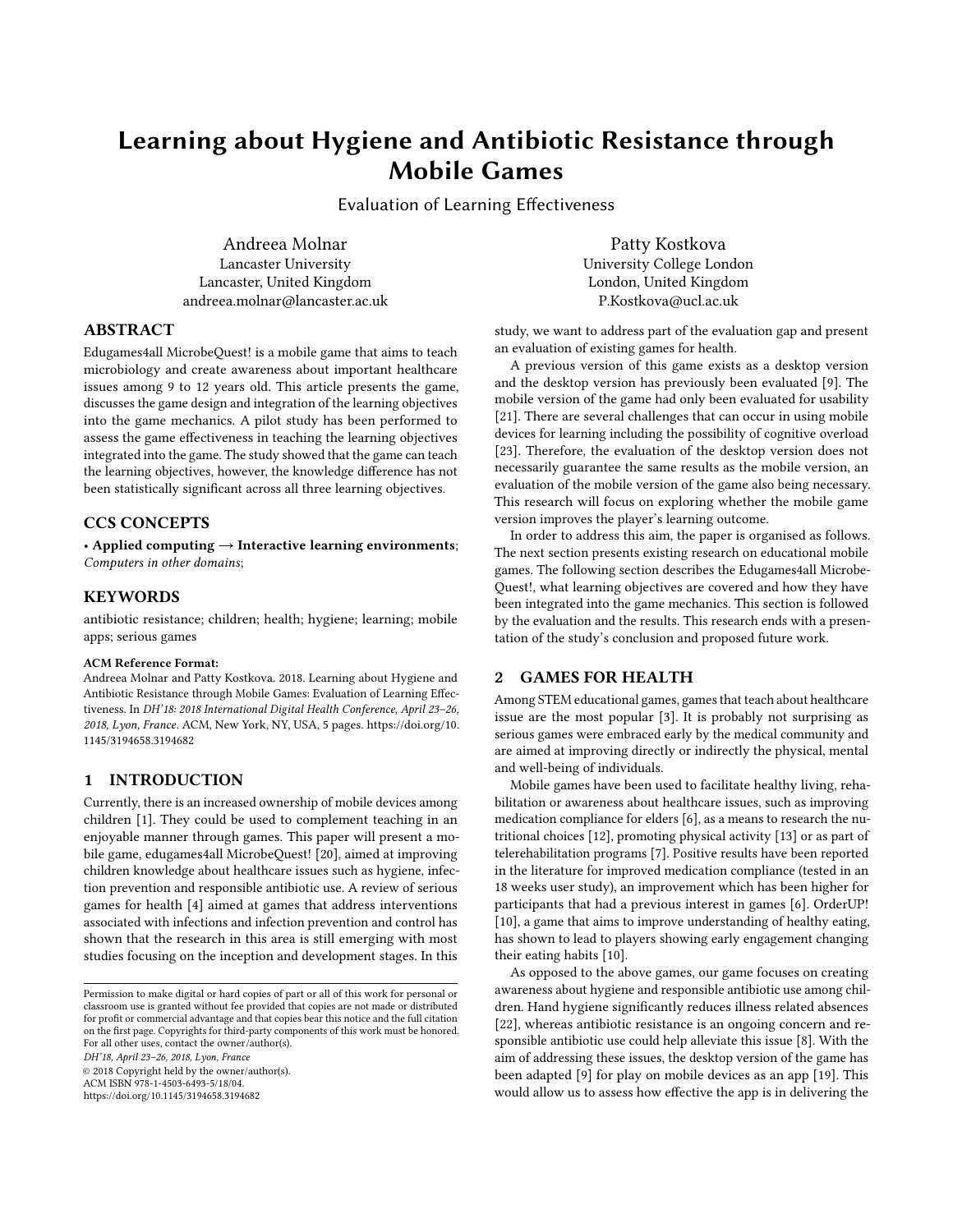# Learning about Hygiene and Antibiotic Resistance through Mobile Games

Evaluation of Learning Effectiveness

Andreea Molnar Lancaster University Lancaster, United Kingdom andreea.molnar@lancaster.ac.uk

Patty Kostkova University College London London, United Kingdom P.Kostkova@ucl.ac.uk

# ABSTRACT

Edugames4all MicrobeQuest! is a mobile game that aims to teach microbiology and create awareness about important healthcare issues among 9 to 12 years old. This article presents the game, discusses the game design and integration of the learning objectives into the game mechanics. A pilot study has been performed to assess the game effectiveness in teaching the learning objectives integrated into the game. The study showed that the game can teach the learning objectives, however, the knowledge difference has not been statistically significant across all three learning objectives.

# CCS CONCEPTS

• Applied computing → Interactive learning environments; Computers in other domains;

## **KEYWORDS**

antibiotic resistance; children; health; hygiene; learning; mobile apps; serious games

#### ACM Reference Format:

Andreea Molnar and Patty Kostkova. 2018. Learning about Hygiene and Antibiotic Resistance through Mobile Games: Evaluation of Learning Effectiveness. In DH'18: 2018 International Digital Health Conference, April 23–26, 2018, Lyon, France. ACM, New York, NY, USA, [5](#page-4-0) pages. [https://doi.org/10.](https://doi.org/10.1145/3194658.3194682) [1145/3194658.3194682](https://doi.org/10.1145/3194658.3194682)

# 1 INTRODUCTION

Currently, there is an increased ownership of mobile devices among children [\[1\]](#page-4-1). They could be used to complement teaching in an enjoyable manner through games. This paper will present a mobile game, edugames4all MicrobeQuest! [\[20\]](#page-4-2), aimed at improving children knowledge about healthcare issues such as hygiene, infection prevention and responsible antibiotic use. A review of serious games for health [\[4\]](#page-4-3) aimed at games that address interventions associated with infections and infection prevention and control has shown that the research in this area is still emerging with most studies focusing on the inception and development stages. In this

ACM ISBN 978-1-4503-6493-5/18/04.

<https://doi.org/10.1145/3194658.3194682>

study, we want to address part of the evaluation gap and present an evaluation of existing games for health.

A previous version of this game exists as a desktop version and the desktop version has previously been evaluated [\[9\]](#page-4-4). The mobile version of the game had only been evaluated for usability [\[21\]](#page-4-5). There are several challenges that can occur in using mobile devices for learning including the possibility of cognitive overload [\[23\]](#page-4-6). Therefore, the evaluation of the desktop version does not necessarily guarantee the same results as the mobile version, an evaluation of the mobile version of the game also being necessary. This research will focus on exploring whether the mobile game version improves the player's learning outcome.

In order to address this aim, the paper is organised as follows. The next section presents existing research on educational mobile games. The following section describes the Edugames4all Microbe-Quest!, what learning objectives are covered and how they have been integrated into the game mechanics. This section is followed by the evaluation and the results. This research ends with a presentation of the study's conclusion and proposed future work.

# 2 GAMES FOR HEALTH

Among STEM educational games, games that teach about healthcare issue are the most popular [\[3\]](#page-4-7). It is probably not surprising as serious games were embraced early by the medical community and are aimed at improving directly or indirectly the physical, mental and well-being of individuals.

Mobile games have been used to facilitate healthy living, rehabilitation or awareness about healthcare issues, such as improving medication compliance for elders [\[6\]](#page-4-8), as a means to research the nutritional choices [\[12\]](#page-4-9), promoting physical activity [\[13\]](#page-4-10) or as part of telerehabilitation programs [\[7\]](#page-4-11). Positive results have been reported in the literature for improved medication compliance (tested in an 18 weeks user study), an improvement which has been higher for participants that had a previous interest in games [\[6\]](#page-4-8). OrderUP! [\[10\]](#page-4-12), a game that aims to improve understanding of healthy eating, has shown to lead to players showing early engagement changing their eating habits [\[10\]](#page-4-12).

As opposed to the above games, our game focuses on creating awareness about hygiene and responsible antibiotic use among children. Hand hygiene significantly reduces illness related absences [\[22\]](#page-4-13), whereas antibiotic resistance is an ongoing concern and responsible antibiotic use could help alleviate this issue [\[8\]](#page-4-14). With the aim of addressing these issues, the desktop version of the game has been adapted [\[9\]](#page-4-4) for play on mobile devices as an app [\[19\]](#page-4-15). This would allow us to assess how effective the app is in delivering the

Permission to make digital or hard copies of part or all of this work for personal or classroom use is granted without fee provided that copies are not made or distributed for profit or commercial advantage and that copies bear this notice and the full citation on the first page. Copyrights for third-party components of this work must be honored. For all other uses, contact the owner/author(s). DH'18, April 23–26, 2018, Lyon, France © 2018 Copyright held by the owner/author(s).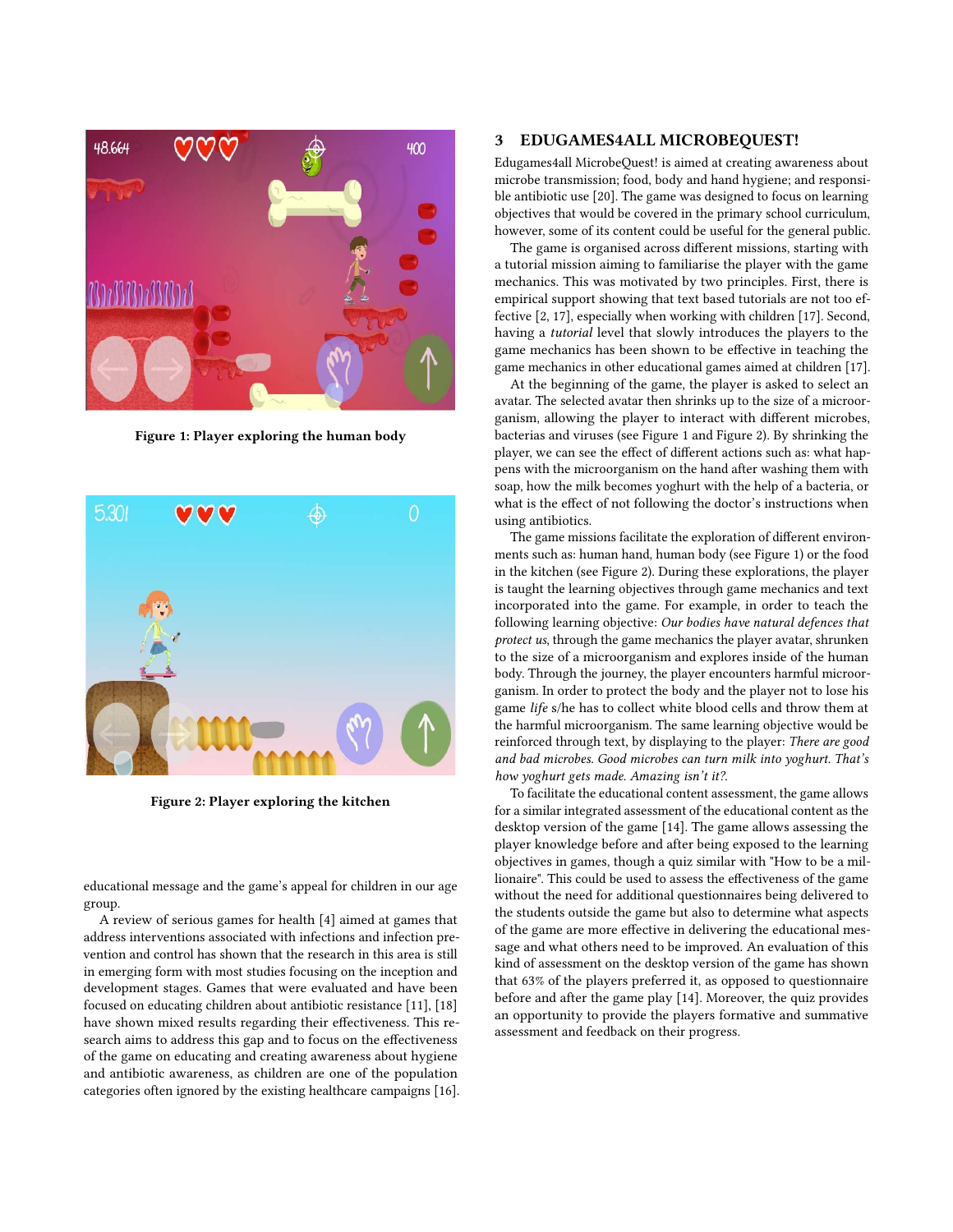<span id="page-1-0"></span>

Figure 1: Player exploring the human body

<span id="page-1-1"></span>

Figure 2: Player exploring the kitchen

educational message and the game's appeal for children in our age group.

A review of serious games for health [\[4\]](#page-4-3) aimed at games that address interventions associated with infections and infection prevention and control has shown that the research in this area is still in emerging form with most studies focusing on the inception and development stages. Games that were evaluated and have been focused on educating children about antibiotic resistance [\[11\]](#page-4-16), [\[18\]](#page-4-17) have shown mixed results regarding their effectiveness. This research aims to address this gap and to focus on the effectiveness of the game on educating and creating awareness about hygiene and antibiotic awareness, as children are one of the population categories often ignored by the existing healthcare campaigns [\[16\]](#page-4-18).

## 3 EDUGAMES4ALL MICROBEQUEST!

Edugames4all MicrobeQuest! is aimed at creating awareness about microbe transmission; food, body and hand hygiene; and responsible antibiotic use [\[20\]](#page-4-2). The game was designed to focus on learning objectives that would be covered in the primary school curriculum, however, some of its content could be useful for the general public.

The game is organised across different missions, starting with a tutorial mission aiming to familiarise the player with the game mechanics. This was motivated by two principles. First, there is empirical support showing that text based tutorials are not too effective [\[2,](#page-4-19) [17\]](#page-4-20), especially when working with children [\[17\]](#page-4-20). Second, having a tutorial level that slowly introduces the players to the game mechanics has been shown to be effective in teaching the game mechanics in other educational games aimed at children [\[17\]](#page-4-20).

At the beginning of the game, the player is asked to select an avatar. The selected avatar then shrinks up to the size of a microorganism, allowing the player to interact with different microbes, bacterias and viruses (see Figure [1](#page-1-0) and Figure [2\)](#page-1-1). By shrinking the player, we can see the effect of different actions such as: what happens with the microorganism on the hand after washing them with soap, how the milk becomes yoghurt with the help of a bacteria, or what is the effect of not following the doctor's instructions when using antibiotics.

The game missions facilitate the exploration of different environments such as: human hand, human body (see Figure [1\)](#page-1-0) or the food in the kitchen (see Figure [2\)](#page-1-1). During these explorations, the player is taught the learning objectives through game mechanics and text incorporated into the game. For example, in order to teach the following learning objective: Our bodies have natural defences that protect us, through the game mechanics the player avatar, shrunken to the size of a microorganism and explores inside of the human body. Through the journey, the player encounters harmful microorganism. In order to protect the body and the player not to lose his game life s/he has to collect white blood cells and throw them at the harmful microorganism. The same learning objective would be reinforced through text, by displaying to the player: There are good and bad microbes. Good microbes can turn milk into yoghurt. That's how yoghurt gets made. Amazing isn't it?.

To facilitate the educational content assessment, the game allows for a similar integrated assessment of the educational content as the desktop version of the game [\[14\]](#page-4-21). The game allows assessing the player knowledge before and after being exposed to the learning objectives in games, though a quiz similar with "How to be a millionaire". This could be used to assess the effectiveness of the game without the need for additional questionnaires being delivered to the students outside the game but also to determine what aspects of the game are more effective in delivering the educational message and what others need to be improved. An evaluation of this kind of assessment on the desktop version of the game has shown that 63% of the players preferred it, as opposed to questionnaire before and after the game play [\[14\]](#page-4-21). Moreover, the quiz provides an opportunity to provide the players formative and summative assessment and feedback on their progress.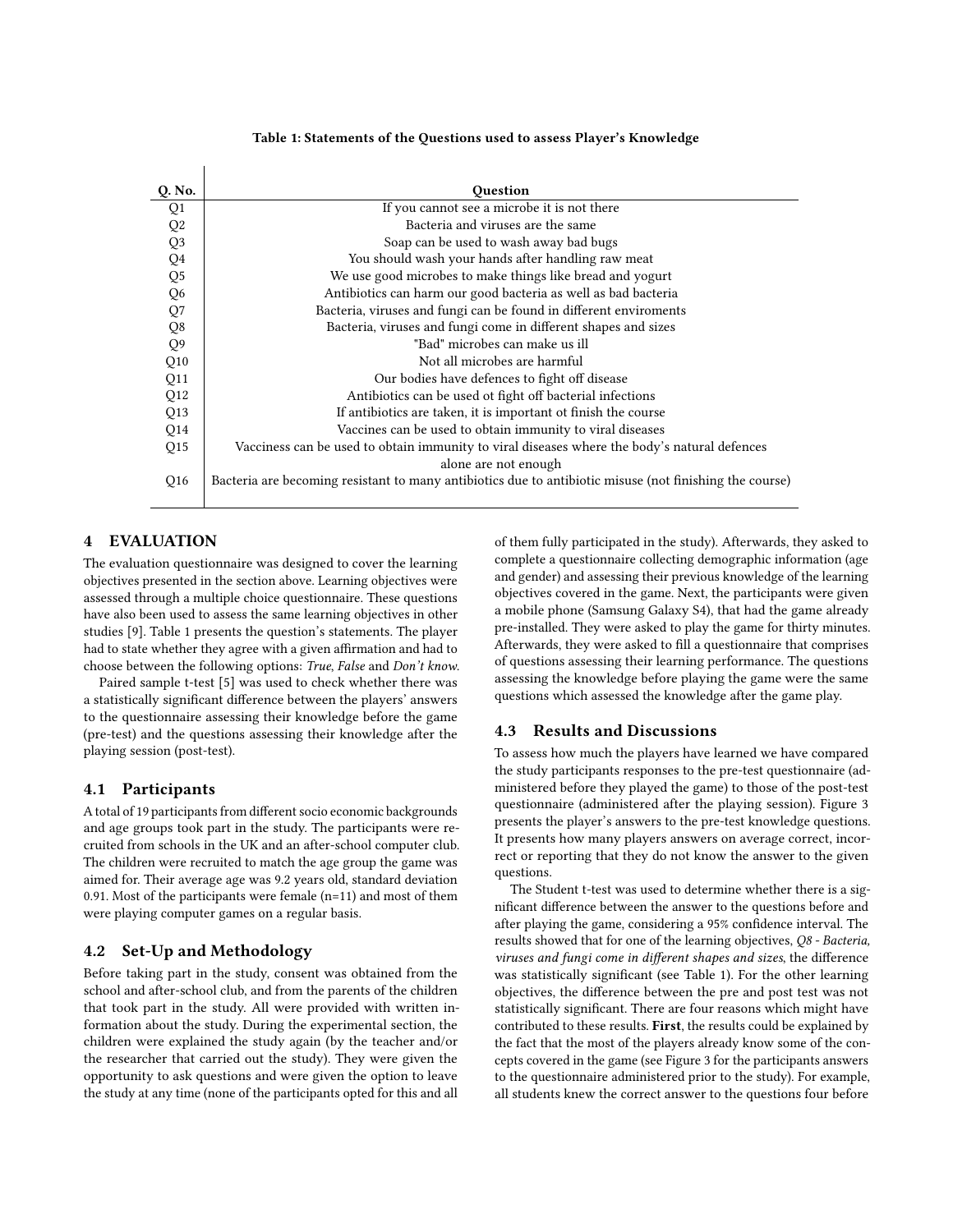#### Table 1: Statements of the Questions used to assess Player's Knowledge

<span id="page-2-0"></span>

| Q. No.         | Question                                                                                                |  |  |  |  |
|----------------|---------------------------------------------------------------------------------------------------------|--|--|--|--|
| Q1             | If you cannot see a microbe it is not there                                                             |  |  |  |  |
| Q <sub>2</sub> | Bacteria and viruses are the same                                                                       |  |  |  |  |
| Q <sub>3</sub> | Soap can be used to wash away bad bugs                                                                  |  |  |  |  |
| ${\bf Q}4$     | You should wash your hands after handling raw meat                                                      |  |  |  |  |
| Q <sub>5</sub> | We use good microbes to make things like bread and yogurt                                               |  |  |  |  |
| Q6             | Antibiotics can harm our good bacteria as well as bad bacteria                                          |  |  |  |  |
| Q7             | Bacteria, viruses and fungi can be found in different enviroments                                       |  |  |  |  |
| Q8             | Bacteria, viruses and fungi come in different shapes and sizes                                          |  |  |  |  |
| Q <sub>9</sub> | "Bad" microbes can make us ill                                                                          |  |  |  |  |
| Q10            | Not all microbes are harmful                                                                            |  |  |  |  |
| Q11            | Our bodies have defences to fight off disease                                                           |  |  |  |  |
| Q12            | Antibiotics can be used ot fight off bacterial infections                                               |  |  |  |  |
| Q13            | If antibiotics are taken, it is important ot finish the course                                          |  |  |  |  |
| Q14            | Vaccines can be used to obtain immunity to viral diseases                                               |  |  |  |  |
| Q15            | Vacciness can be used to obtain immunity to viral diseases where the body's natural defences            |  |  |  |  |
|                | alone are not enough                                                                                    |  |  |  |  |
| Q16            | Bacteria are becoming resistant to many antibiotics due to antibiotic misuse (not finishing the course) |  |  |  |  |

# 4 EVALUATION

The evaluation questionnaire was designed to cover the learning objectives presented in the section above. Learning objectives were assessed through a multiple choice questionnaire. These questions have also been used to assess the same learning objectives in other studies [\[9\]](#page-4-4). Table [1](#page-2-0) presents the question's statements. The player had to state whether they agree with a given affirmation and had to choose between the following options: True, False and Don't know.

Paired sample t-test [\[5\]](#page-4-22) was used to check whether there was a statistically significant difference between the players' answers to the questionnaire assessing their knowledge before the game (pre-test) and the questions assessing their knowledge after the playing session (post-test).

## 4.1 Participants

A total of 19 participants from different socio economic backgrounds and age groups took part in the study. The participants were recruited from schools in the UK and an after-school computer club. The children were recruited to match the age group the game was aimed for. Their average age was 9.2 years old, standard deviation 0.91. Most of the participants were female (n=11) and most of them were playing computer games on a regular basis.

# 4.2 Set-Up and Methodology

Before taking part in the study, consent was obtained from the school and after-school club, and from the parents of the children that took part in the study. All were provided with written information about the study. During the experimental section, the children were explained the study again (by the teacher and/or the researcher that carried out the study). They were given the opportunity to ask questions and were given the option to leave the study at any time (none of the participants opted for this and all

of them fully participated in the study). Afterwards, they asked to complete a questionnaire collecting demographic information (age and gender) and assessing their previous knowledge of the learning objectives covered in the game. Next, the participants were given a mobile phone (Samsung Galaxy S4), that had the game already pre-installed. They were asked to play the game for thirty minutes. Afterwards, they were asked to fill a questionnaire that comprises of questions assessing their learning performance. The questions assessing the knowledge before playing the game were the same questions which assessed the knowledge after the game play.

### 4.3 Results and Discussions

To assess how much the players have learned we have compared the study participants responses to the pre-test questionnaire (administered before they played the game) to those of the post-test questionnaire (administered after the playing session). Figure [3](#page-3-0) presents the player's answers to the pre-test knowledge questions. It presents how many players answers on average correct, incorrect or reporting that they do not know the answer to the given questions.

The Student t-test was used to determine whether there is a significant difference between the answer to the questions before and after playing the game, considering a 95% confidence interval. The results showed that for one of the learning objectives, Q8 - Bacteria, viruses and fungi come in different shapes and sizes, the difference was statistically significant (see Table [1\)](#page-2-0). For the other learning objectives, the difference between the pre and post test was not statistically significant. There are four reasons which might have contributed to these results. First, the results could be explained by the fact that the most of the players already know some of the concepts covered in the game (see Figure [3](#page-3-0) for the participants answers to the questionnaire administered prior to the study). For example, all students knew the correct answer to the questions four before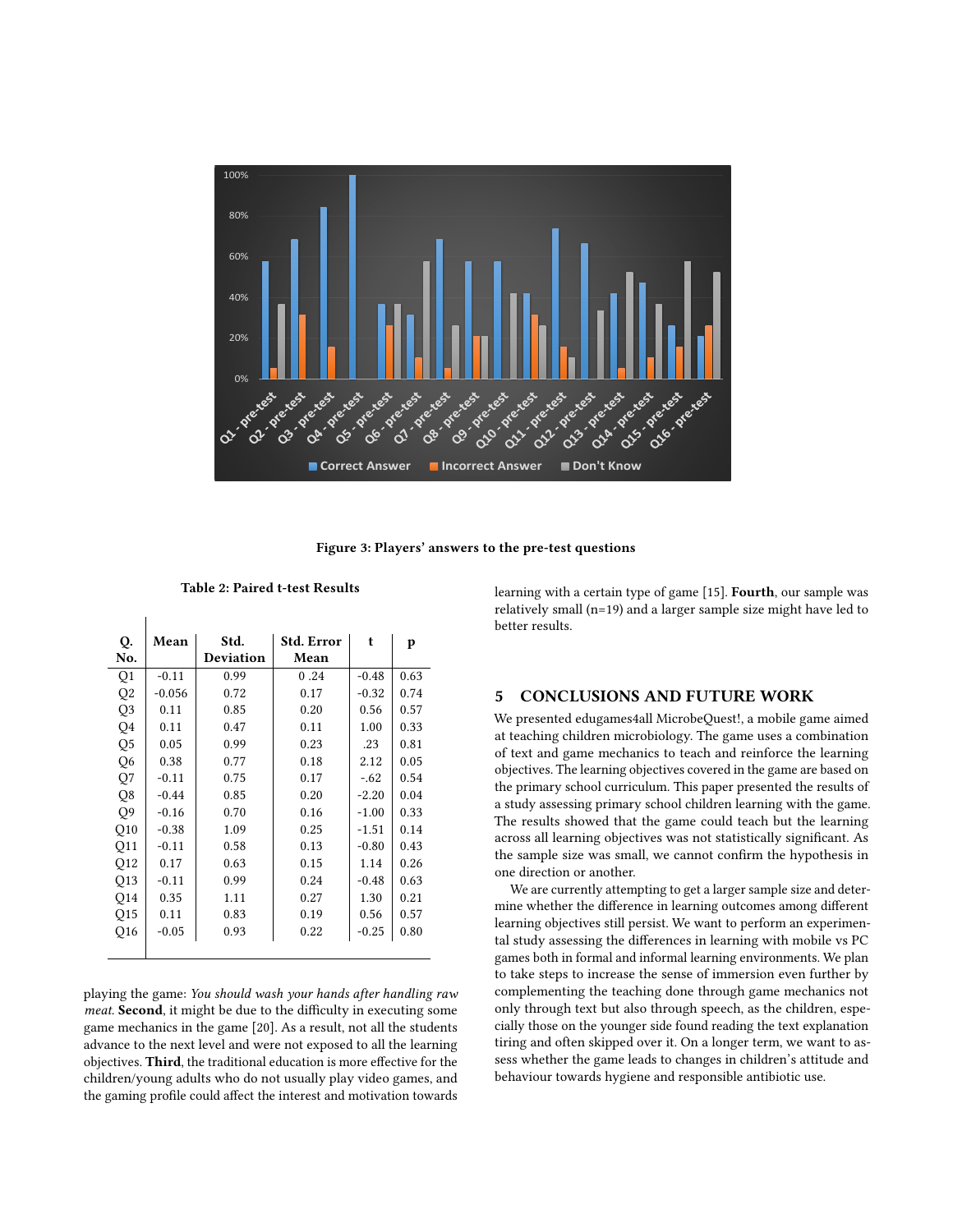<span id="page-3-0"></span>

Figure 3: Players' answers to the pre-test questions

Table 2: Paired t-test Results

 $\overline{1}$ 

| Q.             | Mean     | Std.             | Std. Error | t       | p    |
|----------------|----------|------------------|------------|---------|------|
| No.            |          | <b>Deviation</b> | Mean       |         |      |
| Q1             | $-0.11$  | 0.99             | 0.24       | $-0.48$ | 0.63 |
| Q <sub>2</sub> | $-0.056$ | 0.72             | 0.17       | $-0.32$ | 0.74 |
| Q3             | 0.11     | 0.85             | 0.20       | 0.56    | 0.57 |
| Q4             | 0.11     | 0.47             | 0.11       | 1.00    | 0.33 |
| Q <sub>5</sub> | 0.05     | 0.99             | 0.23       | .23     | 0.81 |
| Q <sub>6</sub> | 0.38     | 0.77             | 0.18       | 2.12    | 0.05 |
| Q7             | $-0.11$  | 0.75             | 0.17       | $-.62$  | 0.54 |
| Q8             | $-0.44$  | 0.85             | 0.20       | $-2.20$ | 0.04 |
| Q9             | $-0.16$  | 0.70             | 0.16       | $-1.00$ | 0.33 |
| Q10            | $-0.38$  | 1.09             | 0.25       | $-1.51$ | 0.14 |
| Q11            | $-0.11$  | 0.58             | 0.13       | $-0.80$ | 0.43 |
| Q12            | 0.17     | 0.63             | 0.15       | 1.14    | 0.26 |
| Q13            | $-0.11$  | 0.99             | 0.24       | $-0.48$ | 0.63 |
| Q14            | 0.35     | 1.11             | 0.27       | 1.30    | 0.21 |
| Q15            | 0.11     | 0.83             | 0.19       | 0.56    | 0.57 |
| Q16            | $-0.05$  | 0.93             | 0.22       | $-0.25$ | 0.80 |
|                |          |                  |            |         |      |

playing the game: You should wash your hands after handling raw meat. Second, it might be due to the difficulty in executing some game mechanics in the game [\[20\]](#page-4-2). As a result, not all the students advance to the next level and were not exposed to all the learning objectives. Third, the traditional education is more effective for the children/young adults who do not usually play video games, and the gaming profile could affect the interest and motivation towards learning with a certain type of game [\[15\]](#page-4-23). Fourth, our sample was relatively small (n=19) and a larger sample size might have led to better results.

# 5 CONCLUSIONS AND FUTURE WORK

We presented edugames4all MicrobeQuest!, a mobile game aimed at teaching children microbiology. The game uses a combination of text and game mechanics to teach and reinforce the learning objectives. The learning objectives covered in the game are based on the primary school curriculum. This paper presented the results of a study assessing primary school children learning with the game. The results showed that the game could teach but the learning across all learning objectives was not statistically significant. As the sample size was small, we cannot confirm the hypothesis in one direction or another.

We are currently attempting to get a larger sample size and determine whether the difference in learning outcomes among different learning objectives still persist. We want to perform an experimental study assessing the differences in learning with mobile vs PC games both in formal and informal learning environments. We plan to take steps to increase the sense of immersion even further by complementing the teaching done through game mechanics not only through text but also through speech, as the children, especially those on the younger side found reading the text explanation tiring and often skipped over it. On a longer term, we want to assess whether the game leads to changes in children's attitude and behaviour towards hygiene and responsible antibiotic use.